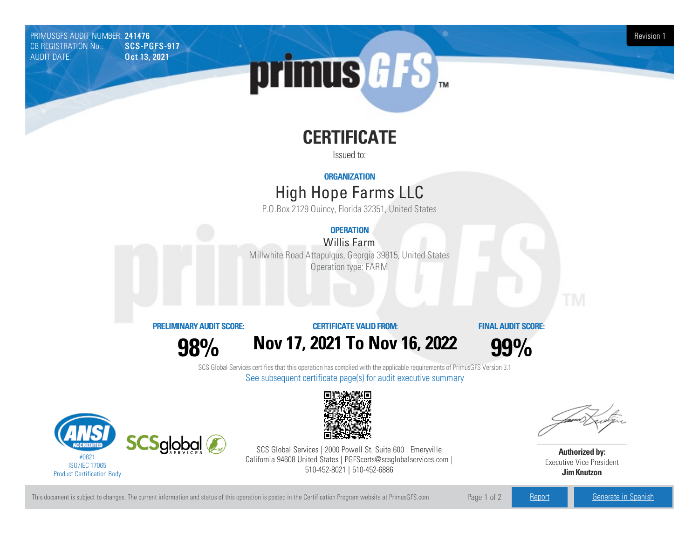PRIMUSGFS AUDIT NUMBER: 241476 Revision 1<br>CB REGISTRATION No.: SCS-PGFS-917 Revision 1 CB REGISTRATION No.: AUDIT DATE: **Oct 13, 2021** 



# **CERTIFICATE**

Issued to:

#### **ORGANIZATION**

## High Hope FarmsLLC

P.O.Box 2129 Quincy, Florida 32351, United States

### **OPERATION**

Willis Farm Millwhite Road Attapulgus, Georgia39815, United States Operation type: FARM

#### **PRELIMINARYAUDIT SCORE:**

**98%**

### **CERTIFICATE VALIDFROM: Nov17, 2021 To Nov16, 2022**

**FINAL AUDIT SCORE:**

**99%**

SCS Global Services certifies that this operation has complied with the applicable requirements of PrimusGFS Version 3.1 See subsequent certificate page(s) for audit executive summary





SCS Global Services | 2000 Powell St. Suite 600 | Emeryville California 94608 United States | PGFScerts@scsglobalservices.com | 510-452-8021 | 510-452-6886

**Authorized by:** Executive Vice President **JimKnutzon**

This document is subject to changes. The current information and status of this operation is posted in the Certification Program website at PrimusGFS.com Page 1 of 2 [Report](https://secure.azzule.com/PGFSDocuments/PGFS_AuditReport241476_8654_1_EN.pdf) [Generate](https://secure.azzule.com/PrimusGFSAudits/pdfGenerator.aspx?AuditHeaderID=42344221995542669986067233492813261472571&AppId=40381073424&LanguageID=1&UserId=1) in Spanish